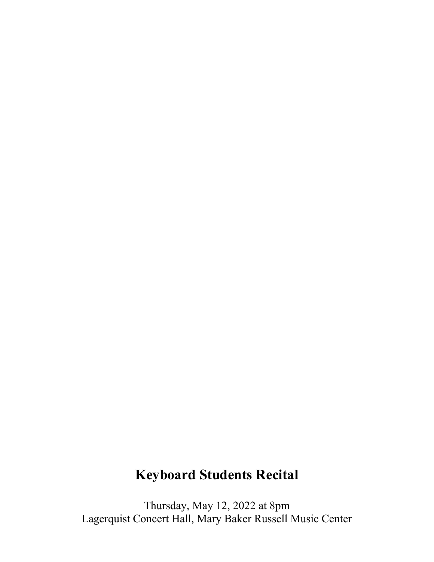## **Keyboard Students Recital**

Thursday, May 12, 2022 at 8pm Lagerquist Concert Hall, Mary Baker Russell Music Center